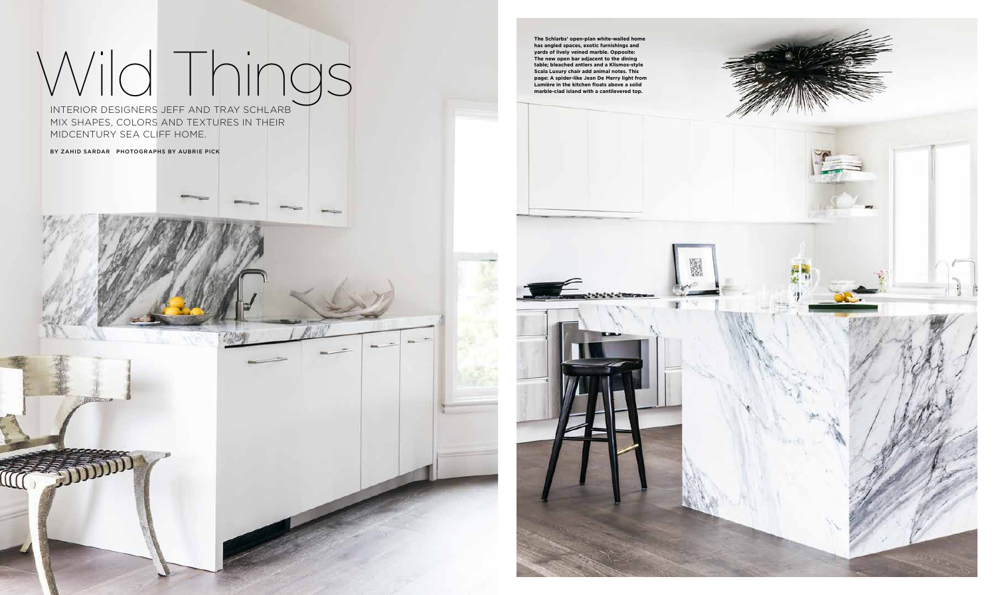## Wild Things

INTERIOR DESIGNERS JEFF AND TRAY SCHLARB MIX SHAPES, COLORS AND TEXTURES IN THEIR MIDCENTURY SEA CLIFF HOME.

BY ZAHID SARDAR PHOTOGRAPHS BY AUBRIE PICK



**has angled spaces, exotic furnishings and yards of lively veined marble. Opposite: The new open bar adjacent to the dining table; bleached antlers and a Klismos-style Scala Luxury chair add animal notes. This page: A spider-like Jean De Merry light from Lumière in the kitchen floats above a solid**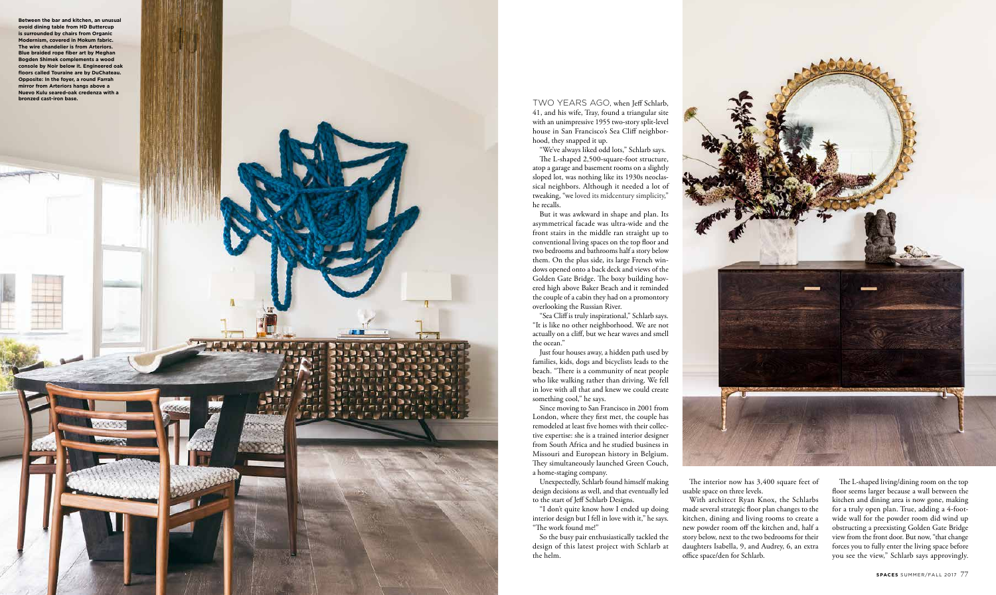TWO YEARS AGO, when Jeff Schlarb, 41, and his wife, Tray, found a triangular site with an unimpressive 1955 two-story split-level house in San Francisco's Sea Cliff neighbor hood, they snapped it up.

"We've always liked odd lots," Schlarb says. The L-shaped 2,500-square-foot structure, atop a garage and basement rooms on a slightly sloped lot, was nothing like its 1930s neoclas sical neighbors. Although it needed a lot of tweaking, "we loved its midcentury simplicity," he recalls.

But it was awkward in shape and plan. Its asymmetrical facade was ultra-wide and the front stairs in the middle ran straight up to conventional living spaces on the top floor and two bedrooms and bathrooms half a story below them. On the plus side, its large French win dows opened onto a back deck and views of the Golden Gate Bridge. The boxy building hov ered high above Baker Beach and it reminded the couple of a cabin they had on a promontory overlooking the Russian River.

"Sea Cliff is truly inspirational," Schlarb says. "It is like no other neighborhood. We are not actually on a cliff, but we hear waves and smell the ocean."

Just four houses away, a hidden path used by families, kids, dogs and bicyclists leads to the beach. "There is a community of neat people who like walking rather than driving. We fell in love with all that and knew we could create something cool," he says.

Since moving to San Francisco in 2001 from London, where they first met, the couple has remodeled at least five homes with their collec tive expertise: she is a trained interior designer from South Africa and he studied business in Missouri and European history in Belgium. They simultaneously launched Green Couch, a home-staging company.

Unexpectedly, Schlarb found himself making design decisions as well, and that eventually led to the start of Jeff Schlarb Designs.

"I don't quite know how I ended up doing interior design but I fell in love with it," he says. "The work found me!"

So the busy pair enthusiastically tackled the design of this latest project with Schlarb at the helm.



The interior now has 3,400 square feet of

usable space on three levels. With architect Ryan Knox, the Schlarbs made several strategic floor plan changes to the kitchen, dining and living rooms to create a new powder room off the kitchen and, half a story below, next to the two bedrooms for their daughters Isabella, 9, and Audrey, 6, an extra office space/den for Schlarb.



The L-shaped living/dining room on the top floor seems larger because a wall between the kitchen and dining area is now gone, making for a truly open plan. True, adding a 4-footwide wall for the powder room did wind up obstructing a preexisting Golden Gate Bridge view from the front door. But now, "that change forces you to fully enter the living space before you see the view," Schlarb says approvingly.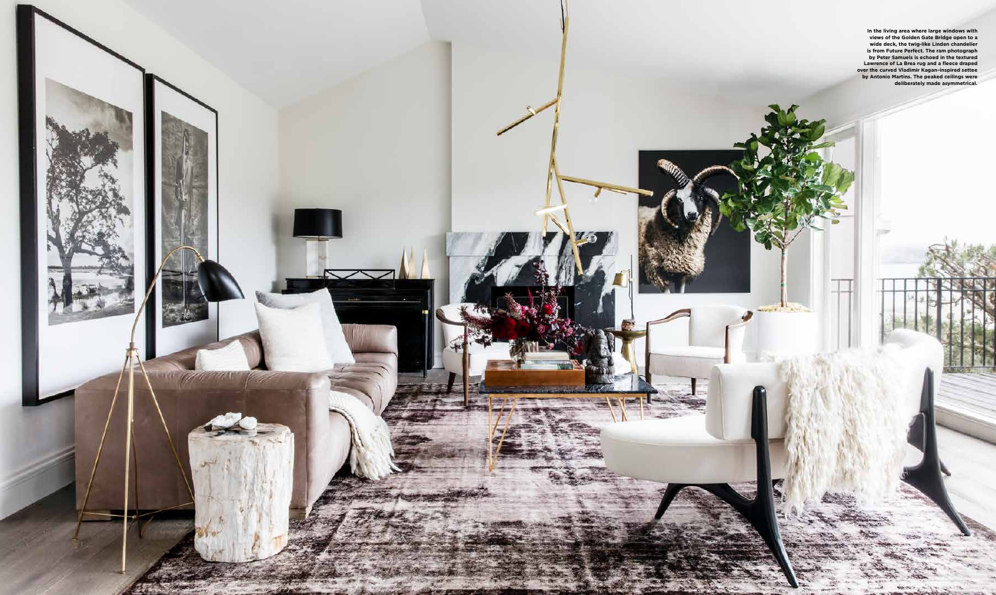

**In the living area where large windows with views of the Golden Gate Bridge open to a wide deck, the twig-like Linden chandelier is from Future Perfect. The ram photograph by Peter Samuels is echoed in the textured Lawrence of La Brea rug and a fleece draped over the curved Vladimir Kagan–inspired settee by Antonio Martins. The peaked ceilings were deliberately made asymmetrical.**

Tarifa-

**ANY MAY MAY** 

**Fechan** 

المستحقق